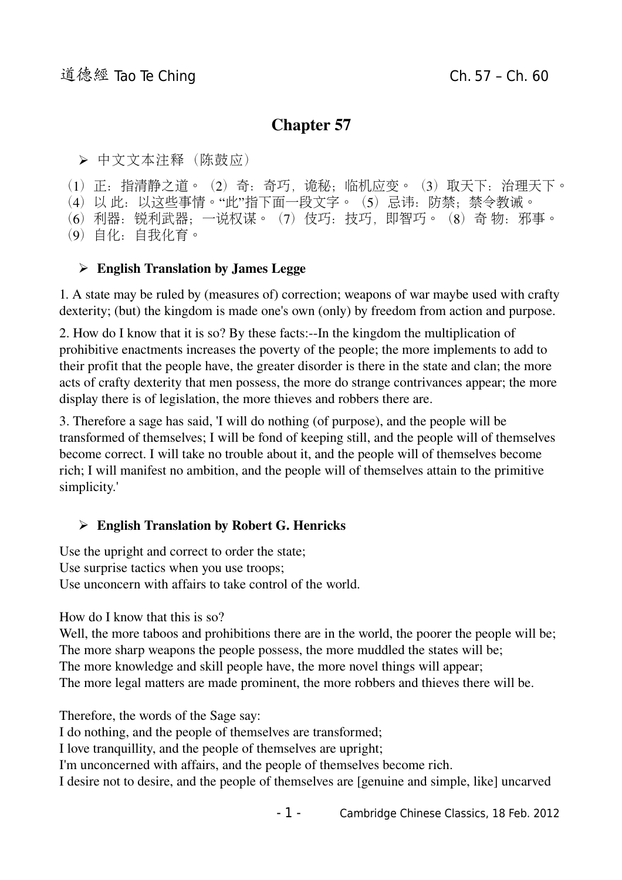# Chapter 57

➢ 中文文本注释(陈鼓应)

(1)正:指清静之道。(2)奇:奇巧,诡秘;临机应变。(3)取天下:治理天下。

(4) 以 此: 以这些事情。"此"指下面一段文字。(5)忌讳: 防禁; 禁令教诫。

(6)利器:锐利武器;一说权谋。(7)伎巧:技巧,即智巧。(8)奇 物:邪事。

(9)自化:自我化育。

## ➢ English Translation by James Legge

1. A state may be ruled by (measures of) correction; weapons of war maybe used with crafty dexterity; (but) the kingdom is made one's own (only) by freedom from action and purpose.

2. How do I know that it is so? By these facts: $-$ In the kingdom the multiplication of prohibitive enactments increases the poverty of the people; the more implements to add to their profit that the people have, the greater disorder is there in the state and clan; the more acts of crafty dexterity that men possess, the more do strange contrivances appear; the more display there is of legislation, the more thieves and robbers there are.

3. Therefore a sage has said, 'I will do nothing (of purpose), and the people will be transformed of themselves; I will be fond of keeping still, and the people will of themselves become correct. I will take no trouble about it, and the people will of themselves become rich; I will manifest no ambition, and the people will of themselves attain to the primitive simplicity.'

## ➢ English Translation by Robert G. Henricks

Use the upright and correct to order the state; Use surprise tactics when you use troops; Use unconcern with affairs to take control of the world.

How do I know that this is so?

Well, the more taboos and prohibitions there are in the world, the poorer the people will be; The more sharp weapons the people possess, the more muddled the states will be; The more knowledge and skill people have, the more novel things will appear; The more legal matters are made prominent, the more robbers and thieves there will be.

Therefore, the words of the Sage say:

I do nothing, and the people of themselves are transformed;

I love tranquillity, and the people of themselves are upright;

I'm unconcerned with affairs, and the people of themselves become rich.

I desire not to desire, and the people of themselves are [genuine and simple, like] uncarved

- 1 - Cambridge Chinese Classics, 18 Feb. 2012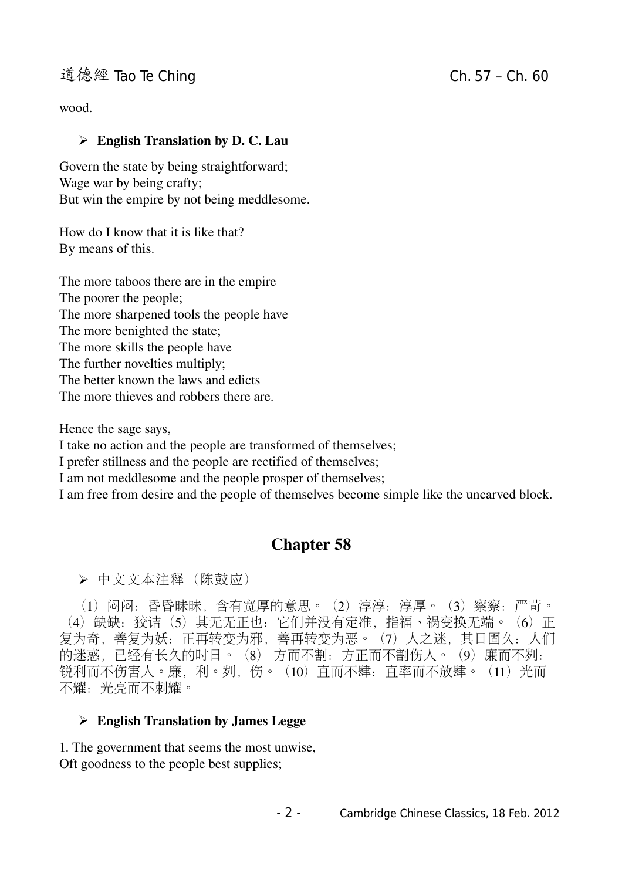## 道德經 Tao Te Ching Change Ch. 57 – Ch. 60

wood.

#### $\triangleright$  English Translation by D. C. Lau

Govern the state by being straightforward; Wage war by being crafty; But win the empire by not being meddlesome.

How do I know that it is like that? By means of this.

The more taboos there are in the empire The poorer the people; The more sharpened tools the people have The more benighted the state; The more skills the people have The further novelties multiply: The better known the laws and edicts The more thieves and robbers there are.

Hence the sage says, I take no action and the people are transformed of themselves; I prefer stillness and the people are rectified of themselves; I am not meddlesome and the people prosper of themselves; I am free from desire and the people of themselves become simple like the uncarved block.

## Chapter 58

➢ 中文文本注释(陈鼓应)

 (1)闷闷:昏昏昧昧,含有宽厚的意思。(2)淳淳:淳厚。(3)察察:严苛。 (4)缺缺:狡诘(5)其无无正也:它们并没有定准,指福、祸变换无端。(6)正 复为奇,善复为妖:正再转变为邪,善再转变为恶。(7)人之迷,其日固久:人们 的迷惑,已经有长久的时日。(8) 方而不割:方正而不割伤人。(9)廉而不刿: 锐利而不伤害人。廉,利。刿,伤。(10)直而不肆: 直率而不放肆。(11)光而 不耀: 光亮而不刺耀。

#### $\triangleright$  English Translation by James Legge

1. The government that seems the most unwise, Oft goodness to the people best supplies;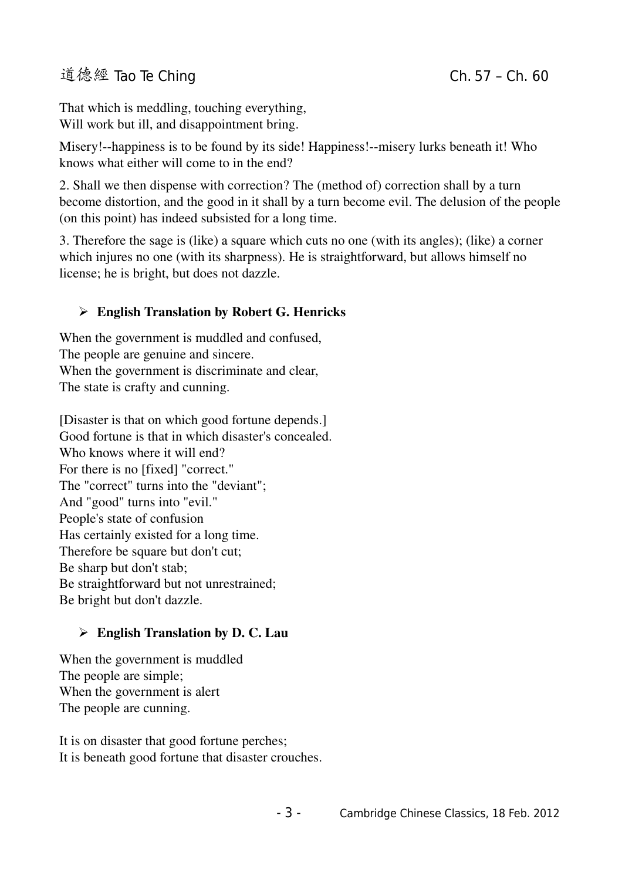## 道德經 Tao Te Ching Change Ch. 57 – Ch. 60

That which is meddling, touching everything, Will work but ill, and disappointment bring.

Misery!--happiness is to be found by its side! Happiness!--misery lurks beneath it! Who knows what either will come to in the end?

2. Shall we then dispense with correction? The (method of) correction shall by a turn become distortion, and the good in it shall by a turn become evil. The delusion of the people (on this point) has indeed subsisted for a long time.

3. Therefore the sage is (like) a square which cuts no one (with its angles); (like) a corner which injures no one (with its sharpness). He is straightforward, but allows himself no license; he is bright, but does not dazzle.

## ➢ English Translation by Robert G. Henricks

When the government is muddled and confused, The people are genuine and sincere. When the government is discriminate and clear, The state is crafty and cunning.

[Disaster is that on which good fortune depends.] Good fortune is that in which disaster's concealed. Who knows where it will end? For there is no [fixed] "correct." The "correct" turns into the "deviant"; And "good" turns into "evil." People's state of confusion Has certainly existed for a long time. Therefore be square but don't cut; Be sharp but don't stab; Be straightforward but not unrestrained; Be bright but don't dazzle.

## $\triangleright$  English Translation by D. C. Lau

When the government is muddled The people are simple; When the government is alert The people are cunning.

It is on disaster that good fortune perches; It is beneath good fortune that disaster crouches.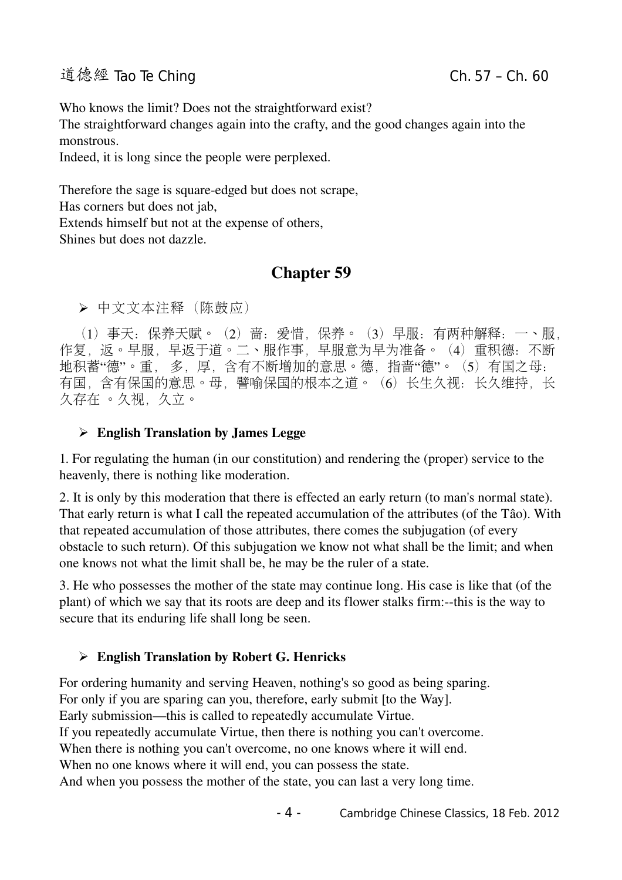# 道德經 Tao Te Ching Chang Ch. 57 – Ch. 60

Who knows the limit? Does not the straightforward exist?

The straightforward changes again into the crafty, and the good changes again into the monstrous.

Indeed, it is long since the people were perplexed.

Therefore the sage is square-edged but does not scrape, Has corners but does not jab, Extends himself but not at the expense of others, Shines but does not dazzle.

# Chapter 59

➢ 中文文本注释(陈鼓应)

 (1)事天:保养天赋。(2)啬:爱惜,保养。(3)早服:有两种解释:一、服, 作复, 返。早服, 早返干道。二、服作事, 早服意为早为准备。 (4) 重积德: 不断 地积蓄"德"。重, 多, 厚, 含有不断增加的意思。德, 指啬"德"。(5) 有国之母: 有国, 含有保国的意思。母, 譬喻保国的根本之道。(6)长生久视: 长久维持, 长 久存在 。久视,久立。

#### $\triangleright$  English Translation by James Legge

1. For regulating the human (in our constitution) and rendering the (proper) service to the heavenly, there is nothing like moderation.

2. It is only by this moderation that there is effected an early return (to man's normal state). That early return is what I call the repeated accumulation of the attributes (of the Tâo). With that repeated accumulation of those attributes, there comes the subjugation (of every obstacle to such return). Of this subjugation we know not what shall be the limit; and when one knows not what the limit shall be, he may be the ruler of a state.

3. He who possesses the mother of the state may continue long. His case is like that (of the plant) of which we say that its roots are deep and its flower stalks firm:--this is the way to secure that its enduring life shall long be seen.

#### ➢ English Translation by Robert G. Henricks

For ordering humanity and serving Heaven, nothing's so good as being sparing. For only if you are sparing can you, therefore, early submit [to the Way]. Early submission—this is called to repeatedly accumulate Virtue. If you repeatedly accumulate Virtue, then there is nothing you can't overcome. When there is nothing you can't overcome, no one knows where it will end. When no one knows where it will end, you can possess the state. And when you possess the mother of the state, you can last a very long time.

- 4 - Cambridge Chinese Classics, 18 Feb. 2012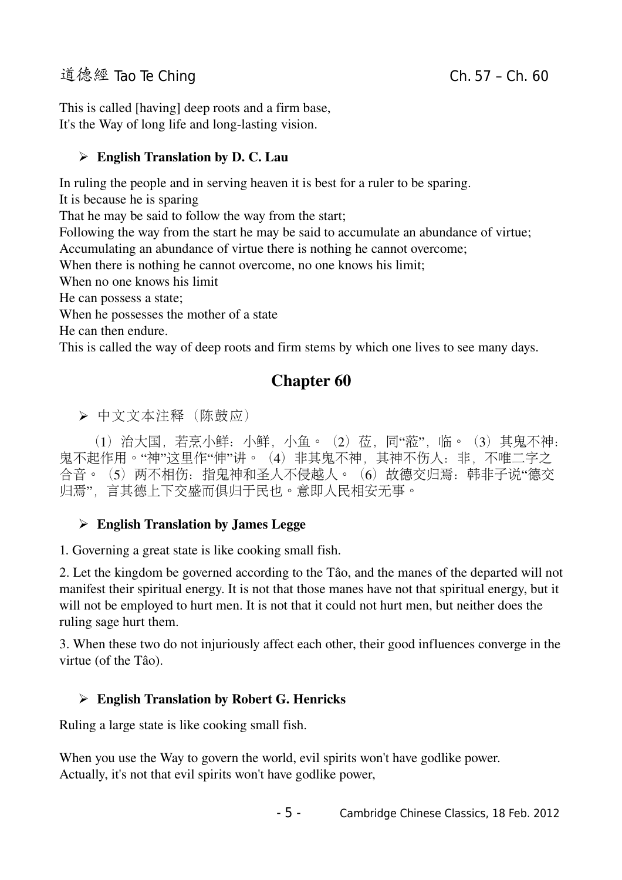## 道德經 Tao Te Ching Change Change Ch. 57 – Ch. 60

This is called [having] deep roots and a firm base, It's the Way of long life and long-lasting vision.

## $\triangleright$  English Translation by D. C. Lau

In ruling the people and in serving heaven it is best for a ruler to be sparing.

It is because he is sparing

That he may be said to follow the way from the start;

Following the way from the start he may be said to accumulate an abundance of virtue;

Accumulating an abundance of virtue there is nothing he cannot overcome;

When there is nothing he cannot overcome, no one knows his limit;

When no one knows his limit

He can possess a state;

When he possesses the mother of a state

He can then endure.

This is called the way of deep roots and firm stems by which one lives to see many days.

# Chapter 60

➢ 中文文本注释(陈鼓应)

(1) 治大国, 若烹小鲜: 小鲜, 小鱼。(2) 莅, 同"蒞", 临。(3) 其鬼不神: 鬼不起作用。"神"这里作"伸"讲。(4) 非其鬼不神, 其神不伤人: 非, 不唯二字之 合音。(5) 两不相伤: 指鬼神和圣人不侵越人。(6) 故德交归焉: 韩非子说"德交 归焉",言其德上下交盛而俱归于民也。意即人民相安无事。

## $\triangleright$  English Translation by James Legge

1. Governing a great state is like cooking small fish.

2. Let the kingdom be governed according to the Tâo, and the manes of the departed will not manifest their spiritual energy. It is not that those manes have not that spiritual energy, but it will not be employed to hurt men. It is not that it could not hurt men, but neither does the ruling sage hurt them.

3. When these two do not injuriously affect each other, their good influences converge in the virtue (of the Tâo).

## ➢ English Translation by Robert G. Henricks

Ruling a large state is like cooking small fish.

When you use the Way to govern the world, evil spirits won't have godlike power. Actually, it's not that evil spirits won't have godlike power,

- 5 - Cambridge Chinese Classics, 18 Feb. 2012